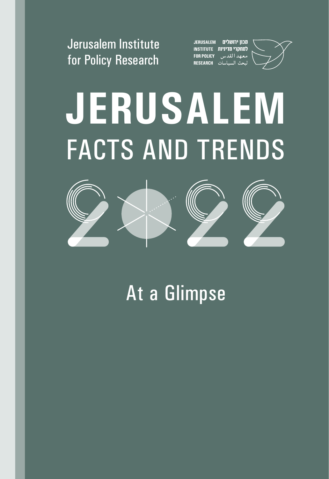

JERUSALEM מכון ירושלים למחקרי מדיניות INSTITUTE معهد القدس FOR POLICY حث السياسات RESEARCH

# **JERUSALEM** FACTS AND TRENDS



At a Glimpse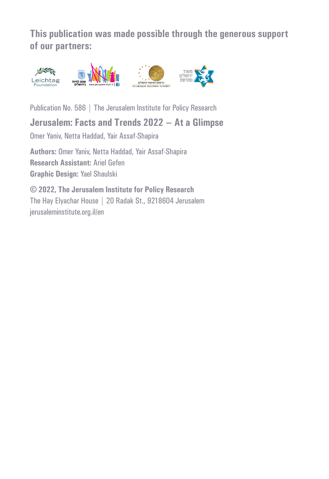**This publication was made possible through the generous support of our partners:**



Publication No. 586 | The Jerusalem Institute for Policy Research

#### **Jerusalem: Facts and Trends 2022** – **At a Glimpse**

Omer Yaniv, Netta Haddad, Yair Assaf-Shapira

**Authors:** Omer Yaniv, Netta Haddad, Yair Assaf-Shapira **Research Assistant:** Ariel Gefen **Graphic Design:** Yael Shaulski

© **2022, The Jerusalem Institute for Policy Research** The Hay Elyachar House | 20 Radak St., 9218604 Jerusalem [jerusaleminstitute.org.il/en](http://jerusaleminstitute.org.il/en)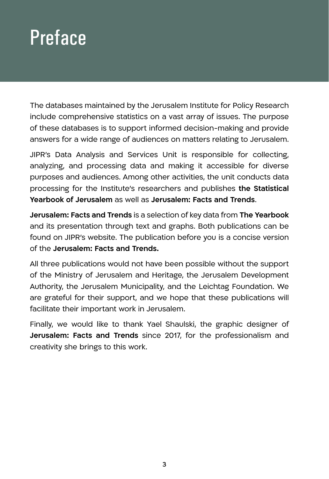## **Preface**

The databases maintained by the Jerusalem Institute for Policy Research include comprehensive statistics on a vast array of issues. The purpose of these databases is to support informed decision-making and provide answers for a wide range of audiences on matters relating to Jerusalem.

JIPR's Data Analysis and Services Unit is responsible for collecting, analyzing, and processing data and making it accessible for diverse purposes and audiences. Among other activities, the unit conducts data processing for the Institute's researchers and publishes **the Statistical Yearbook of Jerusalem** as well as **Jerusalem: Facts and Trends**.

**Jerusalem: Facts and Trends** is a selection of key data from **The Yearbook** and its presentation through text and graphs. Both publications can be found on JIPR's website. The publication before you is a concise version of the **Jerusalem: Facts and Trends.**

All three publications would not have been possible without the support of the Ministry of Jerusalem and Heritage, the Jerusalem Development Authority, the Jerusalem Municipality, and the Leichtag Foundation. We are grateful for their support, and we hope that these publications will facilitate their important work in Jerusalem.

Finally, we would like to thank Yael Shaulski, the graphic designer of **Jerusalem: Facts and Trends** since 2017, for the professionalism and creativity she brings to this work.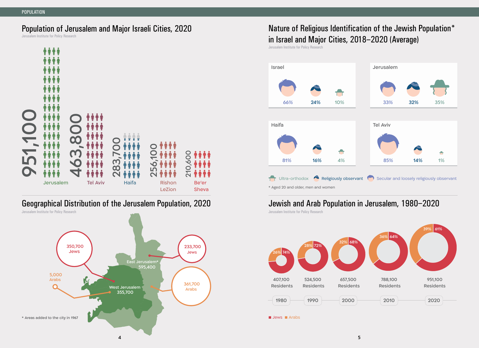#### Population of Jerusalem and Major Israeli Cities, 2020

Jerusalem Institute for Policy Research



#### Geographical Distribution of the Jerusalem Population, 2020



#### Nature of Religious Identification of the Jewish Population\* in Israel and Major Cities, 2018–2020 (Average)

Jerusalem Institute for Policy Research



#### Jewish and Arab Population in Jerusalem, 1980–2020

Jerusalem Institute for Policy Research Jerusalem Institute for Policy Research



■ Jews ■ Arabs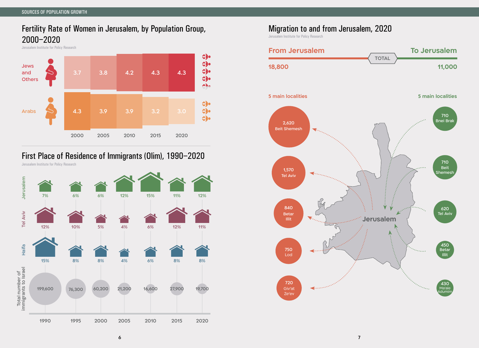#### Fertility Rate of Women in Jerusalem, by Population Group, 2000–2020

Jerusalem Institute for Policy Research



#### First Place of Residence of Immigrants (Olim), 1990–2020



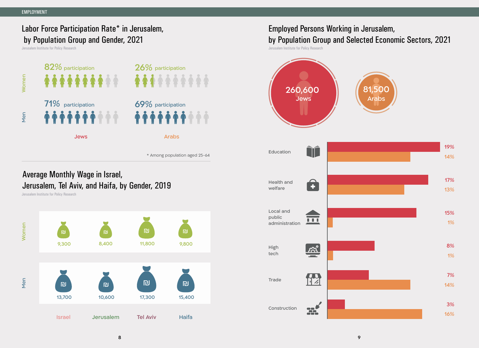#### Labor Force Participation Rate\* in Jerusalem, by Population Group and Gender, 2021

Jerusalem Institute for Policy Research



\* Among population aged 25-64

#### Average Monthly Wage in Israel, Jerusalem, Tel Aviv, and Haifa, by Gender, 2019

Jerusalem Institute for Policy Research



#### Employed Persons Working in Jerusalem, by Population Group and Selected Economic Sectors, 2021

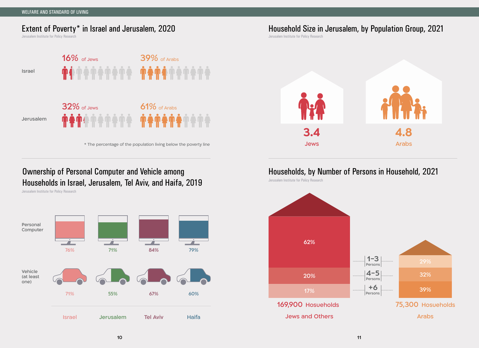#### Extent of Poverty\* in Israel and Jerusalem, 2020

Jerusalem Institute for Policy Research



\* The percentage of the population living below the poverty line

#### Ownership of Personal Computer and Vehicle among Households in Israel, Jerusalem, Tel Aviv, and Haifa, 2019

Jerusalem Institute for Policy Research



Household Size in Jerusalem, by Population Group, 2021

Jerusalem Institute for Policy Research



#### Households, by Number of Persons in Household, 2021

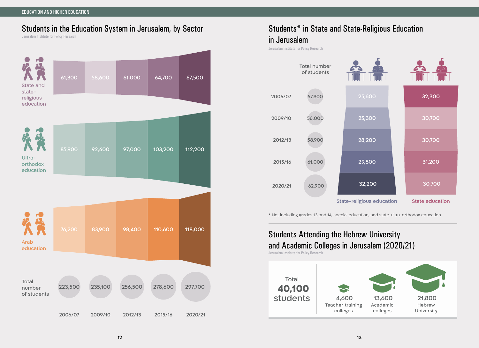#### EDUCATION AND HIGHER EDUCATION

#### Students in the Education System in Jerusalem, by Sector

Jerusalem Institute for Policy Research



#### Students\* in State and State-Religious Education in Jerusalem

Jerusalem Institute for Policy Research



\* Not including grades 13 and 14, special education, and state-ultra-orthodox education

#### Students Attending the Hebrew University and Academic Colleges in Jerusalem (2020/21)

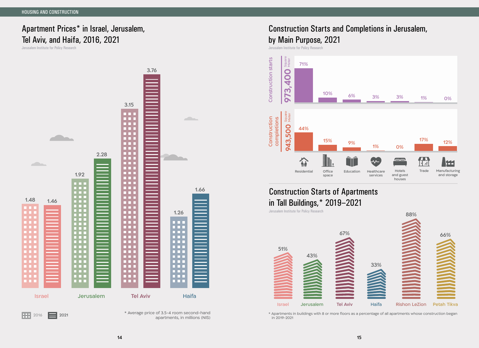### Apartment Prices\* in Israel, Jerusalem, Tel Aviv, and Haifa, 2016, 2021



#### Construction Starts and Completions in Jerusalem,

#### by Main Purpose, 2021

Jerusalem Institute for Policy Research Jerusalem Institute for Policy Research



#### Construction Starts of Apartments in Tall Buildings,\* 2019–2021

Jerusalem Institute for Policy Research

Israel Jerusalem Tel Aviv Haifa Rishon LeZion Petah Tikva 51% 43% 67% 33% 88% 66%

\* Apartments in buildings with 8 or more floors as a percentage of all apartments whose construction began in 2019-2021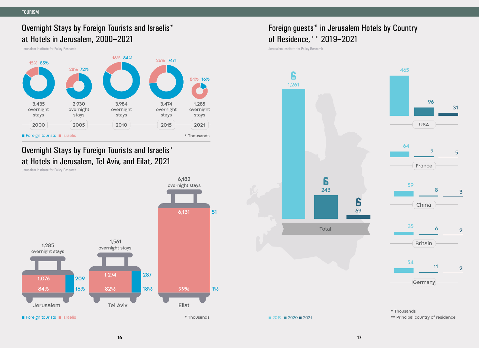#### Overnight Stays by Foreign Tourists and Israelis\* at Hotels in Jerusalem, 2000–2021

Jerusalem Institute for Policy Research



#### Overnight Stays by Foreign Tourists and Israelis\* at Hotels in Jerusalem, Tel Aviv, and Eilat, 2021

Jerusalem Institute for Policy Research



#### Foreign guests\* in Jerusalem Hotels by Country of Residence,\*\* 2019–2021

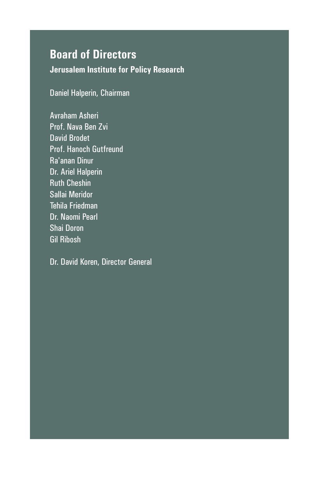#### **Board of Directors**

**Jerusalem Institute for Policy Research**

Daniel Halperin, Chairman

Avraham Asheri Prof. Nava Ben Zvi David Brodet Prof. Hanoch Gutfreund Ra'anan Dinur Dr. Ariel Halperin Ruth Cheshin Sallai Meridor Tehila Friedman Dr. Naomi Pearl Shai Doron Gil Ribosh

Dr. David Koren, Director General